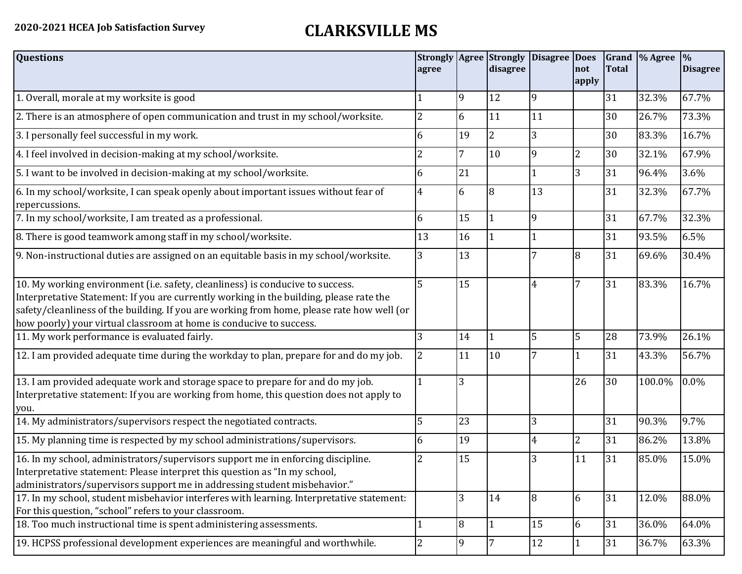## **2020-2021 HCEA Job Satisfaction Survey CLARKSVILLE MS**

| <b>Questions</b>                                                                                                                                                                                                                                                                                                                               | agree          |    | <b>Strongly Agree Strongly</b><br>disagree | Disagree Does | <b>not</b><br>apply | Total | Grand \% Agree | $\frac{9}{6}$<br><b>Disagree</b> |
|------------------------------------------------------------------------------------------------------------------------------------------------------------------------------------------------------------------------------------------------------------------------------------------------------------------------------------------------|----------------|----|--------------------------------------------|---------------|---------------------|-------|----------------|----------------------------------|
| 1. Overall, morale at my worksite is good                                                                                                                                                                                                                                                                                                      |                | 9  | 12                                         | 9             |                     | 31    | 32.3%          | 67.7%                            |
| 2. There is an atmosphere of open communication and trust in my school/worksite.                                                                                                                                                                                                                                                               | $\overline{2}$ | 6  | 11                                         | 11            |                     | 30    | 26.7%          | 73.3%                            |
| 3. I personally feel successful in my work.                                                                                                                                                                                                                                                                                                    | 6              | 19 | $\overline{2}$                             |               |                     | 30    | 83.3%          | 16.7%                            |
| 4. I feel involved in decision-making at my school/worksite.                                                                                                                                                                                                                                                                                   | 2              | 7  | 10                                         | 9             | $\overline{2}$      | 30    | 32.1%          | 67.9%                            |
| 5. I want to be involved in decision-making at my school/worksite.                                                                                                                                                                                                                                                                             | 6              | 21 |                                            |               | 3                   | 31    | 96.4%          | 3.6%                             |
| 6. In my school/worksite, I can speak openly about important issues without fear of<br>repercussions.                                                                                                                                                                                                                                          | 4              | 6  | 8                                          | 13            |                     | 31    | 32.3%          | 67.7%                            |
| 7. In my school/worksite, I am treated as a professional.                                                                                                                                                                                                                                                                                      | 6              | 15 | $\mathbf{1}$                               | 9             |                     | 31    | 67.7%          | 32.3%                            |
| 8. There is good teamwork among staff in my school/worksite.                                                                                                                                                                                                                                                                                   | 13             | 16 |                                            |               |                     | 31    | 93.5%          | 6.5%                             |
| 9. Non-instructional duties are assigned on an equitable basis in my school/worksite.                                                                                                                                                                                                                                                          | 3              | 13 |                                            |               | 8                   | 31    | 69.6%          | 30.4%                            |
| 10. My working environment (i.e. safety, cleanliness) is conducive to success.<br>Interpretative Statement: If you are currently working in the building, please rate the<br>safety/cleanliness of the building. If you are working from home, please rate how well (or<br>how poorly) your virtual classroom at home is conducive to success. | 5              | 15 |                                            | 4             | 7                   | 31    | 83.3%          | 16.7%                            |
| 11. My work performance is evaluated fairly.                                                                                                                                                                                                                                                                                                   | 3              | 14 |                                            | 5             | 5                   | 28    | 73.9%          | 26.1%                            |
| 12. I am provided adequate time during the workday to plan, prepare for and do my job.                                                                                                                                                                                                                                                         |                | 11 | 10                                         |               |                     | 31    | 43.3%          | 56.7%                            |
| 13. I am provided adequate work and storage space to prepare for and do my job.<br>Interpretative statement: If you are working from home, this question does not apply to<br>you.                                                                                                                                                             |                | 3  |                                            |               | 26                  | 30    | 100.0%         | 0.0%                             |
| 14. My administrators/supervisors respect the negotiated contracts.                                                                                                                                                                                                                                                                            | 5              | 23 |                                            | 3             |                     | 31    | 90.3%          | 9.7%                             |
| 15. My planning time is respected by my school administrations/supervisors.                                                                                                                                                                                                                                                                    | 6              | 19 |                                            | 4             | 2                   | 31    | 86.2%          | 13.8%                            |
| 16. In my school, administrators/supervisors support me in enforcing discipline.<br>Interpretative statement: Please interpret this question as "In my school,<br>administrators/supervisors support me in addressing student misbehavior."                                                                                                    | 2              | 15 |                                            | 3             | 11                  | 31    | 85.0%          | 15.0%                            |
| 17. In my school, student misbehavior interferes with learning. Interpretative statement:<br>For this question, "school" refers to your classroom.                                                                                                                                                                                             |                | 3  | 14                                         | 8             | 6                   | 31    | 12.0%          | 88.0%                            |
| 18. Too much instructional time is spent administering assessments.                                                                                                                                                                                                                                                                            |                | 8  | $\vert$ 1                                  | 15            | 6                   | 31    | 36.0%          | 64.0%                            |
| 19. HCPSS professional development experiences are meaningful and worthwhile.                                                                                                                                                                                                                                                                  | 2              | 9  | 7                                          | 12            | 1                   | 31    | 36.7%          | 63.3%                            |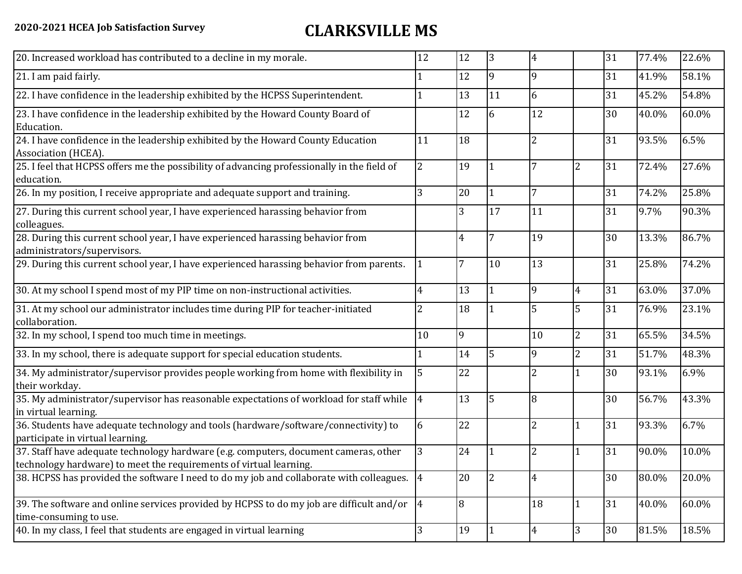## **2020-2021 HCEA Job Satisfaction Survey CLARKSVILLE MS**

| 20. Increased workload has contributed to a decline in my morale.                                                                                          | 12             | 12 | 13             | 4              |                | 31 | 77.4% | 22.6% |
|------------------------------------------------------------------------------------------------------------------------------------------------------------|----------------|----|----------------|----------------|----------------|----|-------|-------|
| 21. I am paid fairly.                                                                                                                                      |                | 12 | 19             | 9              |                | 31 | 41.9% | 58.1% |
| 22. I have confidence in the leadership exhibited by the HCPSS Superintendent.                                                                             |                | 13 | 11             | 6              |                | 31 | 45.2% | 54.8% |
| 23. I have confidence in the leadership exhibited by the Howard County Board of<br>Education.                                                              |                | 12 | 6              | 12             |                | 30 | 40.0% | 60.0% |
| 24. I have confidence in the leadership exhibited by the Howard County Education<br>Association (HCEA).                                                    | 11             | 18 |                | $\overline{2}$ |                | 31 | 93.5% | 6.5%  |
| 25. I feel that HCPSS offers me the possibility of advancing professionally in the field of<br>education.                                                  | 2              | 19 |                | 7              | 2              | 31 | 72.4% | 27.6% |
| 26. In my position, I receive appropriate and adequate support and training.                                                                               | 3              | 20 | 1              | 7              |                | 31 | 74.2% | 25.8% |
| 27. During this current school year, I have experienced harassing behavior from<br>colleagues.                                                             |                | 3  | 17             | 11             |                | 31 | 9.7%  | 90.3% |
| 28. During this current school year, I have experienced harassing behavior from<br>administrators/supervisors.                                             |                | 4  |                | 19             |                | 30 | 13.3% | 86.7% |
| 29. During this current school year, I have experienced harassing behavior from parents.                                                                   |                | 7  | 10             | 13             |                | 31 | 25.8% | 74.2% |
| 30. At my school I spend most of my PIP time on non-instructional activities.                                                                              | 4              | 13 | $\overline{1}$ | 9              | $\overline{4}$ | 31 | 63.0% | 37.0% |
| 31. At my school our administrator includes time during PIP for teacher-initiated<br>collaboration.                                                        | 2              | 18 | $\vert$ 1      | 5              | 5              | 31 | 76.9% | 23.1% |
| 32. In my school, I spend too much time in meetings.                                                                                                       | 10             | 9  |                | 10             | $\overline{2}$ | 31 | 65.5% | 34.5% |
| 33. In my school, there is adequate support for special education students.                                                                                |                | 14 | 5              | 9              | $\overline{2}$ | 31 | 51.7% | 48.3% |
| 34. My administrator/supervisor provides people working from home with flexibility in<br>their workday.                                                    | 5              | 22 |                | 2              |                | 30 | 93.1% | 6.9%  |
| 35. My administrator/supervisor has reasonable expectations of workload for staff while<br>in virtual learning.                                            | $\overline{4}$ | 13 | 5              | 8              |                | 30 | 56.7% | 43.3% |
| 36. Students have adequate technology and tools (hardware/software/connectivity) to<br>participate in virtual learning.                                    | 6              | 22 |                | $\overline{2}$ | 1              | 31 | 93.3% | 6.7%  |
| 37. Staff have adequate technology hardware (e.g. computers, document cameras, other<br>technology hardware) to meet the requirements of virtual learning. | 3              | 24 |                | 2              |                | 31 | 90.0% | 10.0% |
| 38. HCPSS has provided the software I need to do my job and collaborate with colleagues. 4                                                                 |                | 20 | 2              | 4              |                | 30 | 80.0% | 20.0% |
| 39. The software and online services provided by HCPSS to do my job are difficult and/or $ 4 \rangle$<br>time-consuming to use.                            |                | 8  |                | 18             | 1              | 31 | 40.0% | 60.0% |
| 40. In my class, I feel that students are engaged in virtual learning                                                                                      | 3              | 19 | 11             | 4              | 3              | 30 | 81.5% | 18.5% |